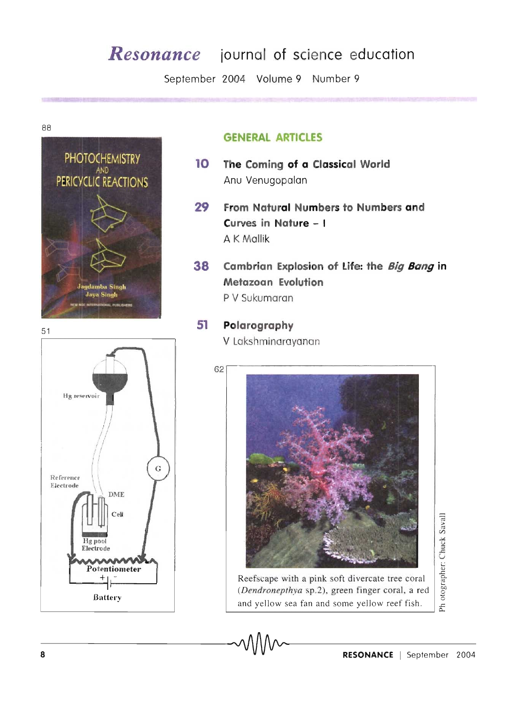# *Resonance* **journal of science education**

September 2004 Volume 9 Number 9

88





## **GENERAL ARTICLES**

- **10 The Coming of a Classical World**  Anu Venugopalan
- **29 From Natural Numbers to Numbers and Curves in Nature - I**  A K Mallik
- **38 Cambrian Explosion of Life: the Big Bang in Metazoan Evolution**  P V Sukumaran

#### 51 **Polarography**

62

V Lakshminarayanan



Reefscape with a pink soft divercate tree coral (Dendronepthya sp.2), green finger coral, a red and yellow sea fan and some yellow reef fish.

 $\frac{1}{10}$  $\tilde{\mathbf{5}}$